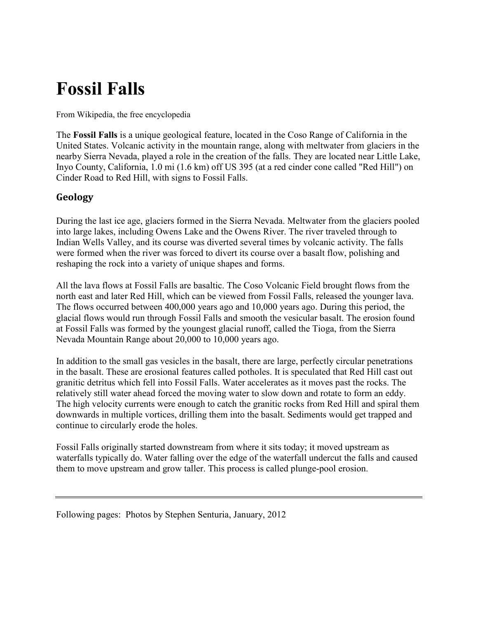## **Fossil Falls**

From Wikipedia, the free encyclopedia

The **Fossil Falls** is a unique geological feature, located in the Coso Range of California in the United States. Volcanic activity in the mountain range, along with meltwater from glaciers in the nearby Sierra Nevada, played a role in the creation of the falls. They are located near Little Lake, Inyo County, California, 1.0 mi (1.6 km) off US 395 (at a red cinder cone called "Red Hill") on Cinder Road to Red Hill, with signs to Fossil Falls.

## **Geology**

During the last ice age, glaciers formed in the Sierra Nevada. Meltwater from the glaciers pooled into large lakes, including Owens Lake and the Owens River. The river traveled through to Indian Wells Valley, and its course was diverted several times by volcanic activity. The falls were formed when the river was forced to divert its course over a basalt flow, polishing and reshaping the rock into a variety of unique shapes and forms.

All the lava flows at Fossil Falls are basaltic. The Coso Volcanic Field brought flows from the north east and later Red Hill, which can be viewed from Fossil Falls, released the younger lava. The flows occurred between 400,000 years ago and 10,000 years ago. During this period, the glacial flows would run through Fossil Falls and smooth the vesicular basalt. The erosion found at Fossil Falls was formed by the youngest glacial runoff, called the Tioga, from the Sierra Nevada Mountain Range about 20,000 to 10,000 years ago.

In addition to the small gas vesicles in the basalt, there are large, perfectly circular penetrations in the basalt. These are erosional features called potholes. It is speculated that Red Hill cast out granitic detritus which fell into Fossil Falls. Water accelerates as it moves past the rocks. The relatively still water ahead forced the moving water to slow down and rotate to form an eddy. The high velocity currents were enough to catch the granitic rocks from Red Hill and spiral them downwards in multiple vortices, drilling them into the basalt. Sediments would get trapped and continue to circularly erode the holes.

Fossil Falls originally started downstream from where it sits today; it moved upstream as waterfalls typically do. Water falling over the edge of the waterfall undercut the falls and caused them to move upstream and grow taller. This process is called plunge-pool erosion.

Following pages: Photos by Stephen Senturia, January, 2012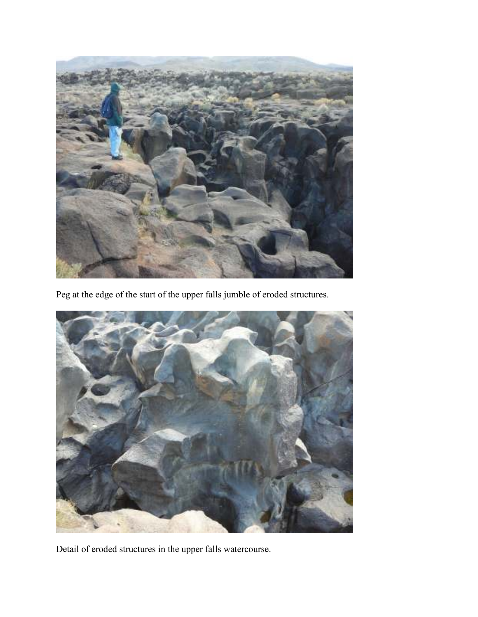

Peg at the edge of the start of the upper falls jumble of eroded structures.



Detail of eroded structures in the upper falls watercourse.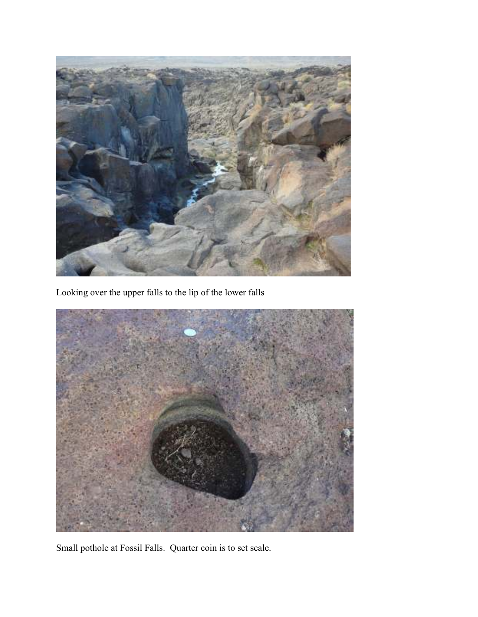

Looking over the upper falls to the lip of the lower falls



Small pothole at Fossil Falls. Quarter coin is to set scale.